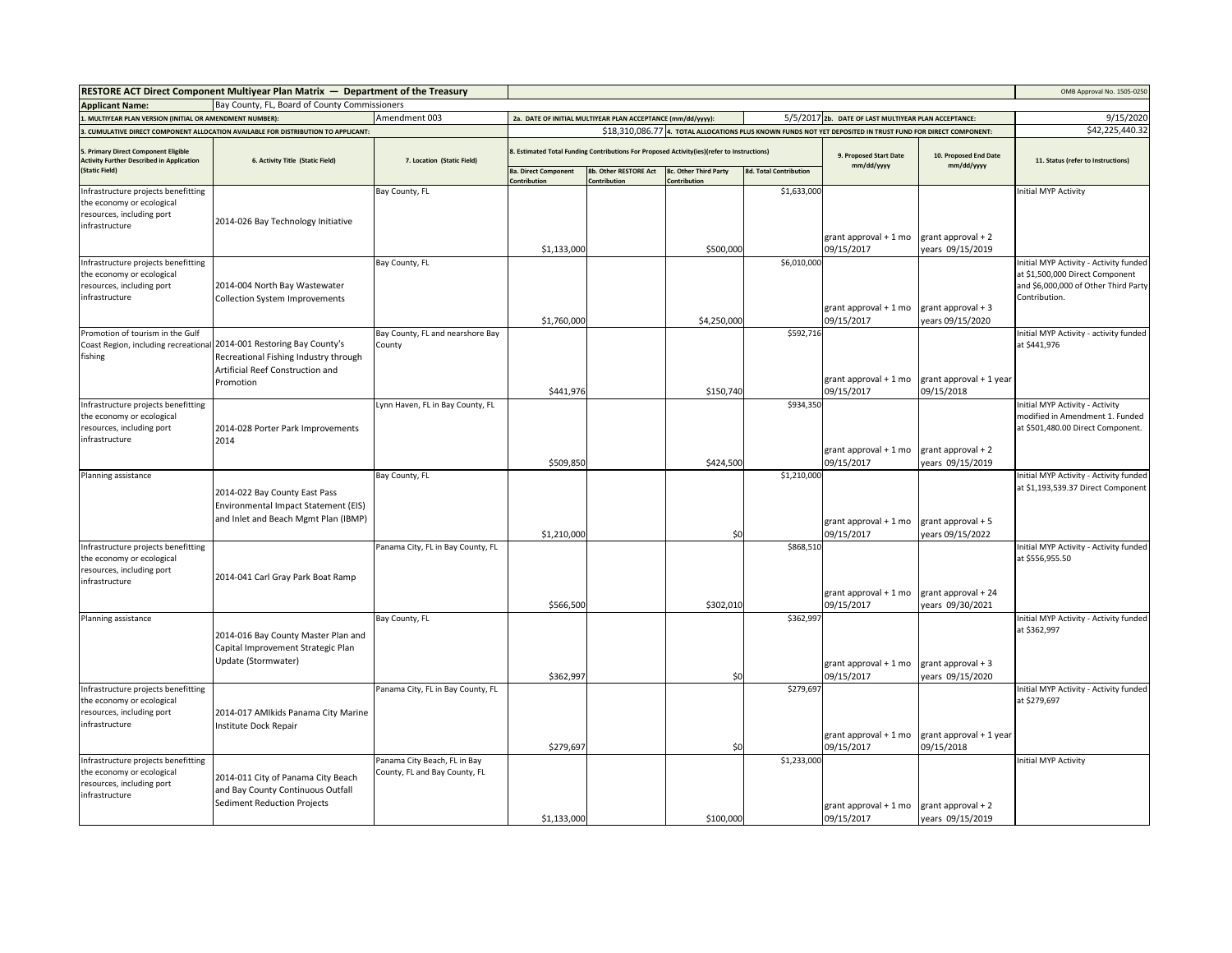|                                                                                                                 | RESTORE ACT Direct Component Multiyear Plan Matrix - Department of the Treasury                                                                   |                                                               |                                             |                                                                                            |                                       |                                                      |                                                                                                             |                                         | OMB Approval No. 1505-0250                                                                                                         |
|-----------------------------------------------------------------------------------------------------------------|---------------------------------------------------------------------------------------------------------------------------------------------------|---------------------------------------------------------------|---------------------------------------------|--------------------------------------------------------------------------------------------|---------------------------------------|------------------------------------------------------|-------------------------------------------------------------------------------------------------------------|-----------------------------------------|------------------------------------------------------------------------------------------------------------------------------------|
| <b>Applicant Name:</b>                                                                                          | Bay County, FL, Board of County Commissioners                                                                                                     |                                                               |                                             |                                                                                            |                                       |                                                      |                                                                                                             |                                         |                                                                                                                                    |
| Amendment 003<br>. MULTIYEAR PLAN VERSION (INITIAL OR AMENDMENT NUMBER):                                        |                                                                                                                                                   | 2a. DATE OF INITIAL MULTIYEAR PLAN ACCEPTANCE (mm/dd/yyyy):   |                                             |                                                                                            |                                       | 5/5/2017 2b. DATE OF LAST MULTIYEAR PLAN ACCEPTANCE: |                                                                                                             | 9/15/2020                               |                                                                                                                                    |
| CUMULATIVE DIRECT COMPONENT ALLOCATION AVAILABLE FOR DISTRIBUTION TO APPLICANT:                                 |                                                                                                                                                   |                                                               |                                             |                                                                                            |                                       |                                                      | \$18,310,086.77 4. TOTAL ALLOCATIONS PLUS KNOWN FUNDS NOT YET DEPOSITED IN TRUST FUND FOR DIRECT COMPONENT: |                                         | \$42,225,440.32                                                                                                                    |
| Primary Direct Component Eligible<br><b>Activity Further Described in Application</b>                           | 6. Activity Title (Static Field)                                                                                                                  | 7. Location (Static Field)                                    |                                             | 8. Estimated Total Funding Contributions For Proposed Activity(ies)(refer to Instructions) |                                       |                                                      | 9. Proposed Start Date                                                                                      | 10. Proposed End Date<br>mm/dd/yyyy     | 11. Status (refer to Instructions)                                                                                                 |
| (Static Field)                                                                                                  |                                                                                                                                                   |                                                               | <b>8a. Direct Component</b><br>Contribution | 8b. Other RESTORE Act<br>Contribution                                                      | 8c. Other Third Party<br>Contribution | <b>8d. Total Contribution</b>                        | mm/dd/yyyy                                                                                                  |                                         |                                                                                                                                    |
| Infrastructure projects benefitting<br>the economy or ecological<br>resources, including port                   |                                                                                                                                                   | Bay County, FL                                                |                                             |                                                                                            |                                       | \$1,633,000                                          |                                                                                                             |                                         | Initial MYP Activity                                                                                                               |
| infrastructure                                                                                                  | 2014-026 Bay Technology Initiative                                                                                                                |                                                               | \$1,133,000                                 |                                                                                            | \$500,000                             |                                                      | grant approval + 1 mo<br>09/15/2017                                                                         | grant approval + 2<br>years 09/15/2019  |                                                                                                                                    |
| Infrastructure projects benefitting<br>the economy or ecological<br>resources, including port<br>infrastructure | 2014-004 North Bay Wastewater<br>Collection System Improvements                                                                                   | Bay County, FL                                                | \$1,760,000                                 |                                                                                            | \$4,250,000                           | \$6,010,000                                          | grant approval + 1 mo<br>09/15/2017                                                                         | grant approval + 3<br>years 09/15/2020  | Initial MYP Activity - Activity funded<br>at \$1,500,000 Direct Component<br>and \$6,000,000 of Other Third Party<br>Contribution. |
| Promotion of tourism in the Gulf<br>fishing                                                                     | Coast Region, including recreational 2014-001 Restoring Bay County's<br>Recreational Fishing Industry through<br>Artificial Reef Construction and | Bay County, FL and nearshore Bay<br>County                    |                                             |                                                                                            |                                       | \$592,716                                            |                                                                                                             |                                         | Initial MYP Activity - activity funded<br>at \$441,976                                                                             |
|                                                                                                                 | Promotion                                                                                                                                         |                                                               | \$441,976                                   |                                                                                            | \$150,740                             |                                                      | grant approval + 1 mo<br>09/15/2017                                                                         | grant approval + 1 year<br>09/15/2018   |                                                                                                                                    |
| Infrastructure projects benefitting<br>the economy or ecological<br>resources, including port<br>infrastructure | 2014-028 Porter Park Improvements<br>2014                                                                                                         | Lynn Haven, FL in Bay County, FL                              |                                             |                                                                                            |                                       | \$934,350                                            |                                                                                                             |                                         | Initial MYP Activity - Activity<br>modified in Amendment 1. Funded<br>at \$501,480.00 Direct Component.                            |
|                                                                                                                 |                                                                                                                                                   |                                                               | \$509,850                                   |                                                                                            | \$424,500                             |                                                      | grant approval + 1 mo<br>09/15/2017                                                                         | grant approval + 2<br>years 09/15/2019  |                                                                                                                                    |
| Planning assistance                                                                                             | 2014-022 Bay County East Pass<br>Environmental Impact Statement (EIS)<br>and Inlet and Beach Mgmt Plan (IBMP)                                     | Bay County, FL                                                | \$1,210,000                                 |                                                                                            | \$0                                   | \$1,210,000                                          | grant approval + 1 mo<br>09/15/2017                                                                         | grant approval + 5<br>years 09/15/2022  | Initial MYP Activity - Activity funded<br>at \$1,193,539.37 Direct Component                                                       |
| Infrastructure projects benefitting<br>the economy or ecological<br>resources, including port<br>infrastructure | 2014-041 Carl Gray Park Boat Ramp                                                                                                                 | Panama City, FL in Bay County, FL                             | \$566,500                                   |                                                                                            | \$302,010                             | \$868,510                                            | grant approval + 1 mo<br>09/15/2017                                                                         | grant approval + 24<br>years 09/30/2021 | Initial MYP Activity - Activity funded<br>at \$556,955.50                                                                          |
| Planning assistance                                                                                             | 2014-016 Bay County Master Plan and<br>Capital Improvement Strategic Plan<br>Update (Stormwater)                                                  | Bay County, FL                                                | \$362,997                                   |                                                                                            | \$0                                   | \$362,997                                            | grant approval + 1 mo<br>09/15/2017                                                                         | grant approval + 3<br>years 09/15/2020  | Initial MYP Activity - Activity funded<br>at \$362,997                                                                             |
| Infrastructure projects benefitting<br>the economy or ecological<br>resources, including port<br>infrastructure | 2014-017 AMIkids Panama City Marine<br>Institute Dock Repair                                                                                      | Panama City, FL in Bay County, FL                             | \$279,697                                   |                                                                                            | \$0                                   | \$279,697                                            | grant approval + 1 mo<br>09/15/2017                                                                         | grant approval + 1 year<br>09/15/2018   | Initial MYP Activity - Activity funded<br>at \$279,697                                                                             |
| Infrastructure projects benefitting<br>the economy or ecological<br>resources, including port<br>infrastructure | 2014-011 City of Panama City Beach<br>and Bay County Continuous Outfall<br>Sediment Reduction Projects                                            | Panama City Beach, FL in Bay<br>County, FL and Bay County, FL | \$1,133,000                                 |                                                                                            | \$100,000                             | \$1,233,000                                          | grant approval + 1 mo<br>09/15/2017                                                                         | grant approval + 2<br>years 09/15/2019  | <b>Initial MYP Activity</b>                                                                                                        |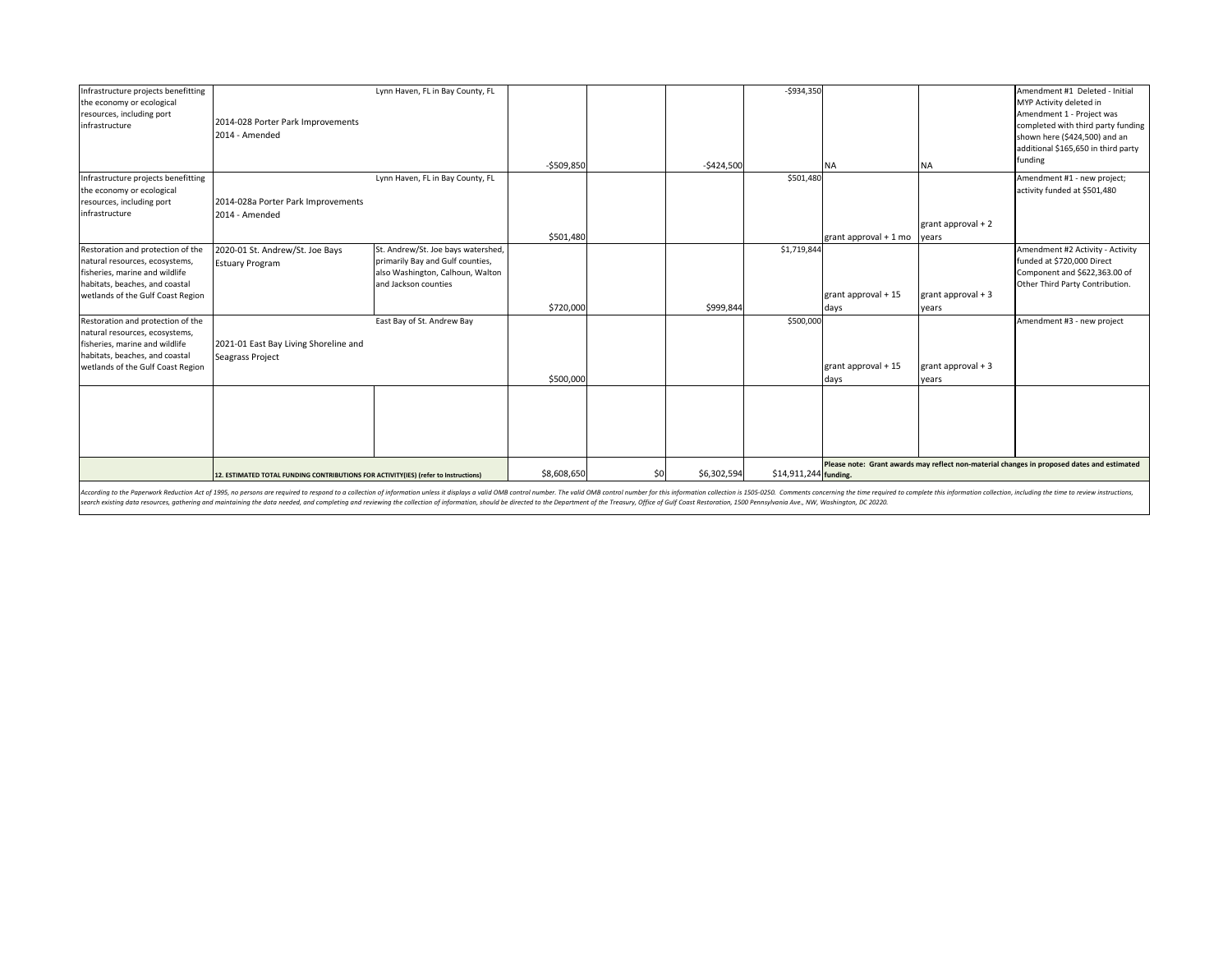| Infrastructure projects benefitting |                                                                                                                                                                                                                                | Lynn Haven, FL in Bay County, FL   |             |     |             | $-5934,350$           |                                                                                            |                     | Amendment #1 Deleted - Initial      |  |
|-------------------------------------|--------------------------------------------------------------------------------------------------------------------------------------------------------------------------------------------------------------------------------|------------------------------------|-------------|-----|-------------|-----------------------|--------------------------------------------------------------------------------------------|---------------------|-------------------------------------|--|
| the economy or ecological           |                                                                                                                                                                                                                                |                                    |             |     |             |                       |                                                                                            |                     | MYP Activity deleted in             |  |
| resources, including port           |                                                                                                                                                                                                                                |                                    |             |     |             |                       |                                                                                            |                     | Amendment 1 - Project was           |  |
| infrastructure                      | 2014-028 Porter Park Improvements                                                                                                                                                                                              |                                    |             |     |             |                       |                                                                                            |                     | completed with third party funding  |  |
|                                     | 2014 - Amended                                                                                                                                                                                                                 |                                    |             |     |             |                       |                                                                                            |                     | shown here (\$424,500) and an       |  |
|                                     |                                                                                                                                                                                                                                |                                    |             |     |             |                       |                                                                                            |                     |                                     |  |
|                                     |                                                                                                                                                                                                                                |                                    |             |     |             |                       |                                                                                            |                     | additional \$165,650 in third party |  |
|                                     |                                                                                                                                                                                                                                |                                    | $-5509,850$ |     | $-$424,500$ |                       | <b>NA</b>                                                                                  | <b>NA</b>           | funding                             |  |
| Infrastructure projects benefitting |                                                                                                                                                                                                                                | Lynn Haven, FL in Bay County, FL   |             |     |             | \$501,480             |                                                                                            |                     | Amendment #1 - new project;         |  |
| the economy or ecological           |                                                                                                                                                                                                                                |                                    |             |     |             |                       |                                                                                            |                     | activity funded at \$501,480        |  |
| resources, including port           | 2014-028a Porter Park Improvements                                                                                                                                                                                             |                                    |             |     |             |                       |                                                                                            |                     |                                     |  |
| infrastructure                      | 2014 - Amended                                                                                                                                                                                                                 |                                    |             |     |             |                       |                                                                                            |                     |                                     |  |
|                                     |                                                                                                                                                                                                                                |                                    |             |     |             |                       |                                                                                            | grant approval $+2$ |                                     |  |
|                                     |                                                                                                                                                                                                                                |                                    | \$501,480   |     |             |                       | grant approval + 1 mo                                                                      | years               |                                     |  |
| Restoration and protection of the   | 2020-01 St. Andrew/St. Joe Bays                                                                                                                                                                                                | St. Andrew/St. Joe bays watershed, |             |     |             | \$1,719,844           |                                                                                            |                     | Amendment #2 Activity - Activity    |  |
| natural resources, ecosystems,      | <b>Estuary Program</b>                                                                                                                                                                                                         | primarily Bay and Gulf counties,   |             |     |             |                       |                                                                                            |                     | funded at \$720,000 Direct          |  |
| fisheries, marine and wildlife      |                                                                                                                                                                                                                                | also Washington, Calhoun, Walton   |             |     |             |                       |                                                                                            |                     | Component and \$622,363.00 of       |  |
| habitats, beaches, and coastal      |                                                                                                                                                                                                                                | and Jackson counties               |             |     |             |                       |                                                                                            |                     | Other Third Party Contribution.     |  |
| wetlands of the Gulf Coast Region   |                                                                                                                                                                                                                                |                                    |             |     |             |                       | grant approval + 15                                                                        | grant approval $+3$ |                                     |  |
|                                     |                                                                                                                                                                                                                                |                                    | \$720,000   |     | \$999,844   |                       | days                                                                                       | years               |                                     |  |
| Restoration and protection of the   |                                                                                                                                                                                                                                | East Bay of St. Andrew Bay         |             |     |             | \$500,000             |                                                                                            |                     | Amendment #3 - new project          |  |
| natural resources, ecosystems,      |                                                                                                                                                                                                                                |                                    |             |     |             |                       |                                                                                            |                     |                                     |  |
| fisheries, marine and wildlife      | 2021-01 East Bay Living Shoreline and                                                                                                                                                                                          |                                    |             |     |             |                       |                                                                                            |                     |                                     |  |
| habitats, beaches, and coastal      | <b>Seagrass Project</b>                                                                                                                                                                                                        |                                    |             |     |             |                       |                                                                                            |                     |                                     |  |
| wetlands of the Gulf Coast Region   |                                                                                                                                                                                                                                |                                    |             |     |             |                       | grant approval + 15                                                                        | grant approval $+3$ |                                     |  |
|                                     |                                                                                                                                                                                                                                |                                    | \$500,000   |     |             |                       | days                                                                                       | years               |                                     |  |
|                                     |                                                                                                                                                                                                                                |                                    |             |     |             |                       |                                                                                            |                     |                                     |  |
|                                     |                                                                                                                                                                                                                                |                                    |             |     |             |                       |                                                                                            |                     |                                     |  |
|                                     |                                                                                                                                                                                                                                |                                    |             |     |             |                       |                                                                                            |                     |                                     |  |
|                                     |                                                                                                                                                                                                                                |                                    |             |     |             |                       |                                                                                            |                     |                                     |  |
|                                     |                                                                                                                                                                                                                                |                                    |             |     |             |                       |                                                                                            |                     |                                     |  |
|                                     |                                                                                                                                                                                                                                |                                    |             |     |             |                       |                                                                                            |                     |                                     |  |
|                                     | 12. ESTIMATED TOTAL FUNDING CONTRIBUTIONS FOR ACTIVITY(IES) (refer to Instructions)                                                                                                                                            |                                    | \$8,608,650 | \$0 | \$6,302,594 | \$14,911,244 funding. | Please note: Grant awards may reflect non-material changes in proposed dates and estimated |                     |                                     |  |
|                                     | considerate the Peneruck Reduction Act of 1995, no persons are required to respond to a conjection of information collection of information unless it displays a yualid OMR control number The unlid OMR control number for th |                                    |             |     |             |                       |                                                                                            |                     |                                     |  |

According to the Paperwork Reduction Act of 1995, no persons are required to respond to a collection of information unless it displays a valid OMB control number. The valid OMB contol number for this information collection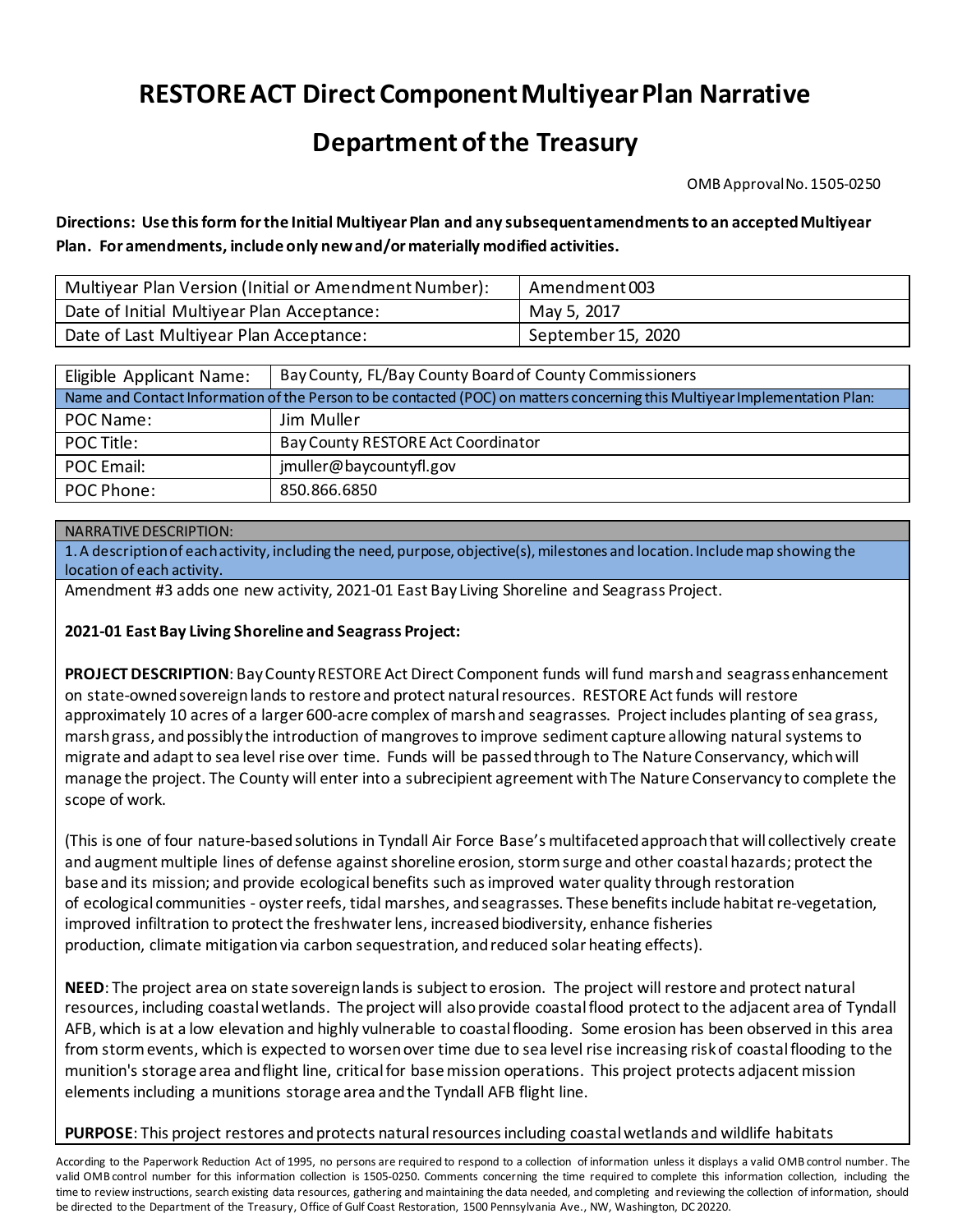# **RESTORE ACT Direct Component Multiyear Plan Narrative**

## **Department of the Treasury**

OMB Approval No. 1505-0250

**Directions: Use this form for the Initial Multiyear Plan and any subsequent amendments to an accepted Multiyear Plan. For amendments, include only new and/or materially modified activities.**

| Multiyear Plan Version (Initial or Amendment Number): | Amendment 003      |
|-------------------------------------------------------|--------------------|
| Date of Initial Multiyear Plan Acceptance:            | May 5, 2017        |
| Date of Last Multiyear Plan Acceptance:               | September 15, 2020 |

| Eligible Applicant Name:                                                                                                   | Bay County, FL/Bay County Board of County Commissioners |  |  |  |  |  |
|----------------------------------------------------------------------------------------------------------------------------|---------------------------------------------------------|--|--|--|--|--|
| Name and Contact Information of the Person to be contacted (POC) on matters concerning this Multiyear Implementation Plan: |                                                         |  |  |  |  |  |
| POC Name:                                                                                                                  | Jim Muller                                              |  |  |  |  |  |
| POC Title:                                                                                                                 | Bay County RESTORE Act Coordinator                      |  |  |  |  |  |
| POC Email:                                                                                                                 | jmuller@baycountyfl.gov                                 |  |  |  |  |  |
| POC Phone:                                                                                                                 | 850.866.6850                                            |  |  |  |  |  |

#### NARRATIVE DESCRIPTION:

1. A description of each activity, including the need, purpose, objective(s), milestones and location. Include map showing the location of each activity.

Amendment #3 adds one new activity, 2021-01 East Bay Living Shoreline and Seagrass Project.

#### **2021-01 East Bay Living Shoreline and Seagrass Project:**

**PROJECT DESCRIPTION**: Bay County RESTORE Act Direct Component funds will fund marsh and seagrassenhancement on state-owned sovereign lands to restore and protect natural resources. RESTORE Act funds will restore approximately 10 acres of a larger 600-acre complex of marsh and seagrasses. Project includes planting of sea grass, marsh grass, and possibly the introduction of mangroves to improve sediment capture allowing natural systems to migrate and adapt to sea level rise over time. Funds will be passed through to The Nature Conservancy, which will manage the project. The County will enter into a subrecipient agreement with The Nature Conservancy to complete the scope of work.

(This is one of four nature-based solutions in Tyndall Air Force Base's multifaceted approach that will collectively create and augment multiple lines of defense against shoreline erosion, storm surge and other coastal hazards; protect the base and its mission; and provide ecological benefits such as improved water quality through restoration of ecological communities - oysterreefs, tidal marshes, andseagrasses. These benefits include habitatre-vegetation, improved infiltration to protect the freshwater lens, increasedbiodiversity, enhance fisheries production, climate mitigationvia carbon sequestration, andreduced solar heating effects).

**NEED**: The project area on state sovereign lands is subject to erosion. The project will restore and protect natural resources, including coastal wetlands. The project will also provide coastal flood protect to the adjacent area of Tyndall AFB, which is at a low elevation and highly vulnerable to coastal flooding. Some erosion has been observed in this area from storm events, which is expected to worsen over time due to sea level rise increasing risk of coastal flooding to the munition's storage area and flight line, critical for base mission operations. This project protects adjacent mission elements including a munitions storage area and the Tyndall AFB flight line.

#### **PURPOSE**: This project restores and protects natural resources including coastal wetlands and wildlife habitats

According to the Paperwork Reduction Act of 1995, no persons are required to respond to a collection of information unless it displays a valid OMB control number. The valid OMB control number for this information collection is 1505-0250. Comments concerning the time required to complete this information collection, including the time to review instructions, search existing data resources, gathering and maintaining the data needed, and completing and reviewing the collection of information, should be directed to the Department of the Treasury, Office of Gulf Coast Restoration, 1500 Pennsylvania Ave., NW, Washington, DC 20220.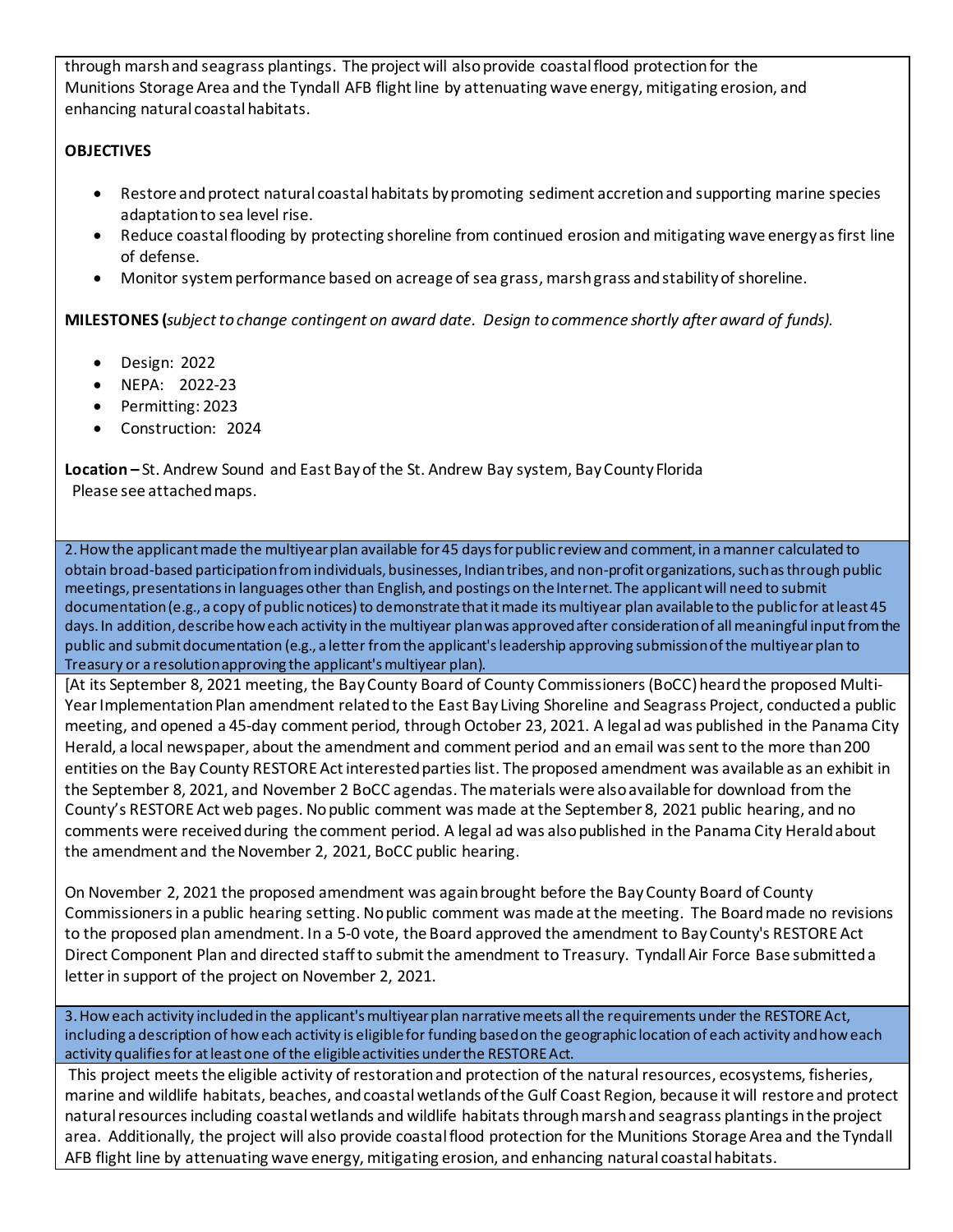through marsh and seagrass plantings. The project will also provide coastal flood protection for the Munitions Storage Area and the Tyndall AFB flight line by attenuating wave energy, mitigating erosion, and enhancing natural coastal habitats.

### **OBJECTIVES**

- Restore and protect natural coastal habitats by promoting sediment accretion and supporting marine species adaptation to sea level rise.
- Reduce coastal flooding by protecting shoreline from continued erosion and mitigating wave energy as first line of defense.
- Monitor system performance based on acreage of sea grass, marsh grass and stability of shoreline.

**MILESTONES (***subject to change contingent on award date. Design to commence shortly after award of funds).*

- Design: 2022
- NEPA: 2022-23
- Permitting: 2023
- Construction: 2024

**Location –** St. Andrew Sound and East Bayof the St. Andrew Bay system, Bay County Florida Please see attached maps.

2. How the applicant made the multiyear plan available for 45 days for public review and comment, in a manner calculated to obtain broad-based participation from individuals, businesses, Indian tribes, and non-profit organizations, such as through public meetings, presentations in languages other than English, and postings on the Internet. The applicant will need to submit documentation (e.g., a copy of public notices) to demonstrate that it made itsmultiyear plan available to the public for at least 45 days. In addition, describe how each activity in the multiyear plan was approved after consideration of allmeaningful input from the public and submit documentation (e.g., a letter from the applicant's leadership approving submission of the multiyear plan to Treasury or a resolution approving the applicant's multiyear plan).

[At its September 8, 2021 meeting, the Bay County Board of County Commissioners (BoCC) heard the proposed Multi-Year Implementation Plan amendment related to the East Bay Living Shoreline and Seagrass Project, conducted a public meeting, and opened a 45-day comment period, through October 23, 2021. A legal ad was published in the Panama City Herald, a local newspaper, about the amendment and comment period and an email was sent to the more than 200 entities on the Bay County RESTORE Act interested parties list. The proposed amendment was available as an exhibit in the September 8, 2021, and November 2 BoCC agendas. The materials were also available for download from the County's RESTORE Act web pages. No public comment was made at the September 8, 2021 public hearing, and no comments were received during the comment period. A legal ad was also published in the Panama City Herald about the amendment and the November 2, 2021, BoCC public hearing.

On November 2, 2021 the proposed amendment was again brought before the Bay County Board of County Commissioners in a public hearing setting. No public comment was made at the meeting. The Board made no revisions to the proposed plan amendment. In a 5-0 vote, the Board approved the amendment to Bay County's RESTORE Act Direct Component Plan and directed staff to submit the amendment to Treasury. Tyndall Air Force Base submitted a letter in support of the project on November 2, 2021.

3. How each activity included in the applicant's multiyear plan narrative meets all the requirements under the RESTORE Act, including a description of howeach activity is eligible for funding based on the geographic location of each activity and how each activity qualifies for at least one of the eligible activities under the RESTORE Act.

This project meets the eligible activity of restoration and protection of the natural resources, ecosystems, fisheries, marine and wildlife habitats, beaches, and coastal wetlands of the Gulf Coast Region, because it will restore and protect natural resources including coastal wetlands and wildlife habitats throughmarsh and seagrass plantings in the project area. Additionally, the project will also provide coastal flood protection for the Munitions Storage Area and the Tyndall AFB flight line by attenuating wave energy, mitigating erosion, and enhancing natural coastal habitats.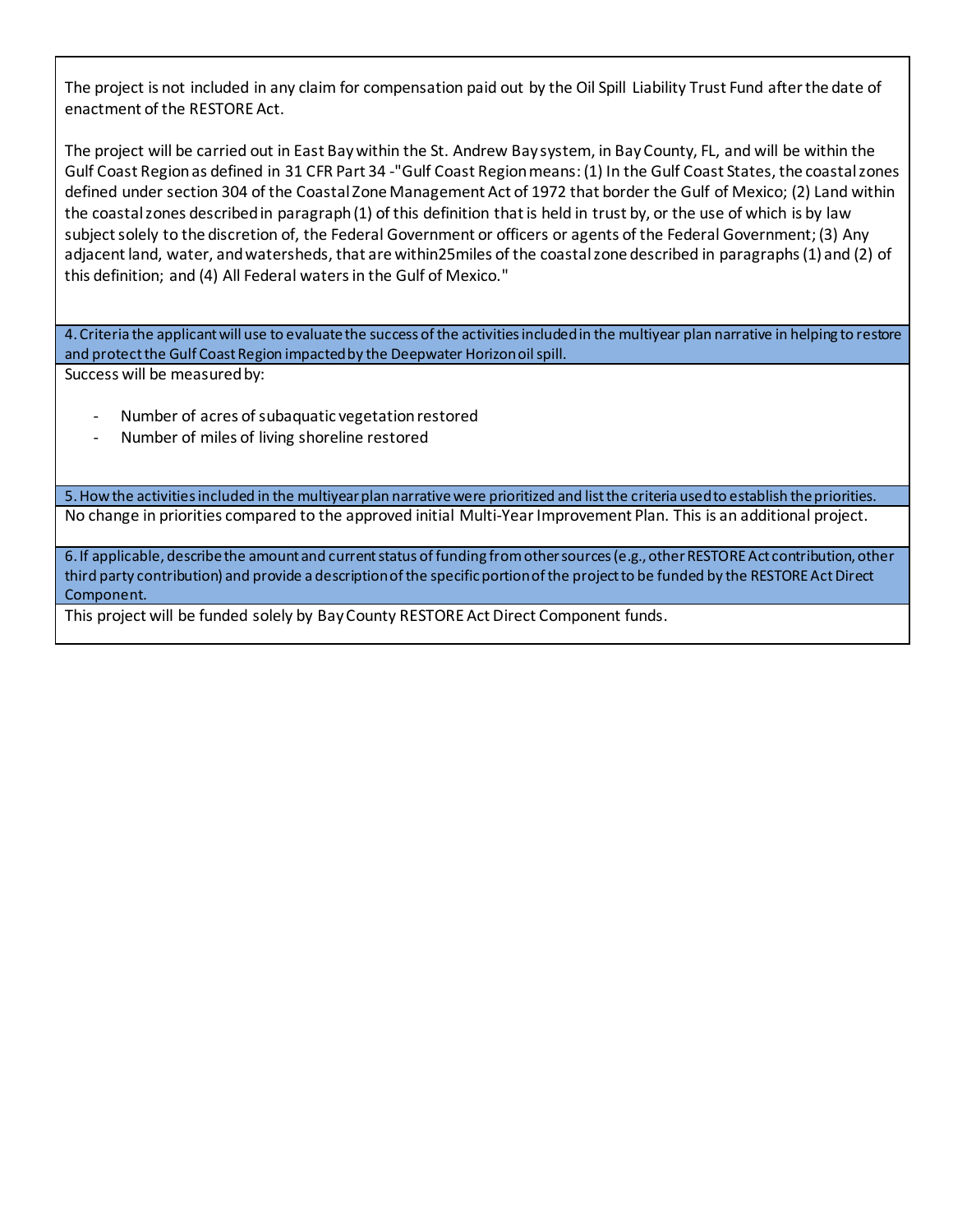The project is not included in any claim for compensation paid out by the Oil Spill Liability Trust Fund after the date of enactment of the RESTORE Act.

The project will be carried out in East Bay within the St. Andrew Bay system, in BayCounty, FL, and will be within the Gulf Coast Region as defined in 31 CFR Part 34 -"Gulf Coast Region means: (1) In the Gulf Coast States, the coastal zones defined under section 304 of the Coastal Zone Management Act of 1972 that border the Gulf of Mexico; (2) Land within the coastal zones described in paragraph (1) of this definition that is held in trust by, or the use of which is by law subject solely to the discretion of, the Federal Government or officers or agents of the Federal Government; (3) Any adjacentland, water, andwatersheds, that are within25miles of the coastalzone described in paragraphs(1) and (2) of this definition; and (4) All Federal watersin the Gulf of Mexico."

4. Criteria the applicant will use to evaluate the success of the activities included in the multiyear plan narrative in helping to restore and protect the Gulf Coast Region impacted by the Deepwater Horizon oil spill. Success will be measured by:

- Number of acres of subaquatic vegetation restored
- Number of miles of living shoreline restored

5. How the activities included in the multiyear plan narrativewere prioritized and list the criteria used to establish the priorities. No change in priorities compared to the approved initial Multi-Year Improvement Plan. This is an additional project.

6. If applicable, describe the amount and current status of funding from other sources (e.g., other RESTORE Act contribution, other third party contribution) and provide a description of the specific portion of the project to be funded by the RESTORE Act Direct Component.

This project will be funded solely by Bay County RESTORE Act Direct Component funds.